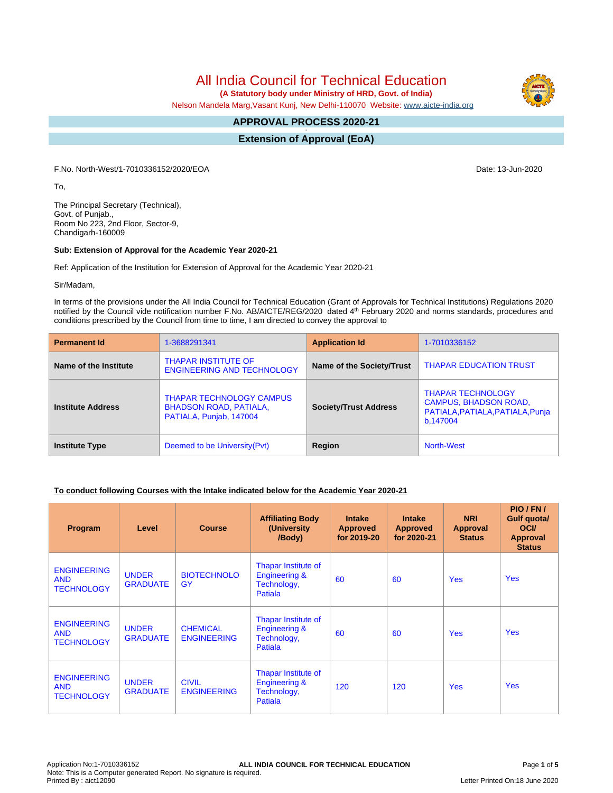All India Council for Technical Education

 **(A Statutory body under Ministry of HRD, Govt. of India)**

Nelson Mandela Marg,Vasant Kunj, New Delhi-110070 Website: [www.aicte-india.org](http://www.aicte-india.org)

#### **APPROVAL PROCESS 2020-21 -**

**Extension of Approval (EoA)**

F.No. North-West/1-7010336152/2020/EOA Date: 13-Jun-2020

To,

The Principal Secretary (Technical), Govt. of Punjab., Room No 223, 2nd Floor, Sector-9, Chandigarh-160009

### **Sub: Extension of Approval for the Academic Year 2020-21**

Ref: Application of the Institution for Extension of Approval for the Academic Year 2020-21

Sir/Madam,

In terms of the provisions under the All India Council for Technical Education (Grant of Approvals for Technical Institutions) Regulations 2020 notified by the Council vide notification number F.No. AB/AICTE/REG/2020 dated 4<sup>th</sup> February 2020 and norms standards, procedures and conditions prescribed by the Council from time to time, I am directed to convey the approval to

| <b>Permanent Id</b>      | 1-3688291341                                                                                | <b>Application Id</b>        | 1-7010336152                                                                                             |  |
|--------------------------|---------------------------------------------------------------------------------------------|------------------------------|----------------------------------------------------------------------------------------------------------|--|
| Name of the Institute    | <b>THAPAR INSTITUTE OF</b><br><b>ENGINEERING AND TECHNOLOGY</b>                             | Name of the Society/Trust    | <b>THAPAR EDUCATION TRUST</b>                                                                            |  |
| <b>Institute Address</b> | <b>THAPAR TECHNOLOGY CAMPUS</b><br><b>BHADSON ROAD, PATIALA,</b><br>PATIALA, Punjab, 147004 | <b>Society/Trust Address</b> | <b>THAPAR TECHNOLOGY</b><br><b>CAMPUS, BHADSON ROAD,</b><br>PATIALA, PATIALA, PATIALA, Punja<br>b,147004 |  |
| <b>Institute Type</b>    | Deemed to be University (Pvt)                                                               | Region                       | North-West                                                                                               |  |

# **To conduct following Courses with the Intake indicated below for the Academic Year 2020-21**

| Program                                               | Level                           | <b>Course</b>                         | <b>Affiliating Body</b><br>(University<br>/Body)                          | <b>Intake</b><br><b>Approved</b><br>for 2019-20 | <b>Intake</b><br><b>Approved</b><br>for 2020-21 | <b>NRI</b><br>Approval<br><b>Status</b> | PIO/FN/<br>Gulf quota/<br><b>OCI</b><br><b>Approval</b><br><b>Status</b> |
|-------------------------------------------------------|---------------------------------|---------------------------------------|---------------------------------------------------------------------------|-------------------------------------------------|-------------------------------------------------|-----------------------------------------|--------------------------------------------------------------------------|
| <b>ENGINEERING</b><br><b>AND</b><br><b>TECHNOLOGY</b> | <b>UNDER</b><br><b>GRADUATE</b> | <b>BIOTECHNOLO</b><br>GY              | Thapar Institute of<br><b>Engineering &amp;</b><br>Technology,<br>Patiala | 60                                              | 60                                              | <b>Yes</b>                              | <b>Yes</b>                                                               |
| <b>ENGINEERING</b><br><b>AND</b><br><b>TECHNOLOGY</b> | <b>UNDER</b><br><b>GRADUATE</b> | <b>CHEMICAL</b><br><b>ENGINEERING</b> | Thapar Institute of<br><b>Engineering &amp;</b><br>Technology,<br>Patiala | 60                                              | 60                                              | <b>Yes</b>                              | <b>Yes</b>                                                               |
| <b>ENGINEERING</b><br><b>AND</b><br><b>TECHNOLOGY</b> | <b>UNDER</b><br><b>GRADUATE</b> | <b>CIVIL</b><br><b>ENGINEERING</b>    | Thapar Institute of<br><b>Engineering &amp;</b><br>Technology,<br>Patiala | 120                                             | 120                                             | <b>Yes</b>                              | <b>Yes</b>                                                               |

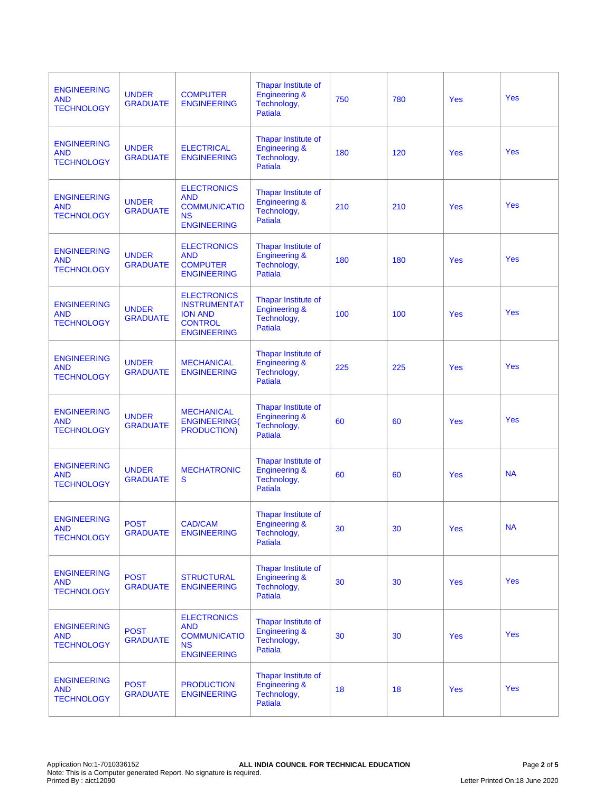| <b>ENGINEERING</b><br><b>AND</b><br><b>TECHNOLOGY</b> | <b>UNDER</b><br><b>GRADUATE</b> | <b>COMPUTER</b><br><b>ENGINEERING</b>                                                               | Thapar Institute of<br><b>Engineering &amp;</b><br>Technology,<br><b>Patiala</b> | 750 | 780 | <b>Yes</b> | Yes        |
|-------------------------------------------------------|---------------------------------|-----------------------------------------------------------------------------------------------------|----------------------------------------------------------------------------------|-----|-----|------------|------------|
| <b>ENGINEERING</b><br><b>AND</b><br><b>TECHNOLOGY</b> | <b>UNDER</b><br><b>GRADUATE</b> | <b>ELECTRICAL</b><br><b>ENGINEERING</b>                                                             | Thapar Institute of<br><b>Engineering &amp;</b><br>Technology,<br>Patiala        | 180 | 120 | <b>Yes</b> | <b>Yes</b> |
| <b>ENGINEERING</b><br><b>AND</b><br><b>TECHNOLOGY</b> | <b>UNDER</b><br><b>GRADUATE</b> | <b>ELECTRONICS</b><br><b>AND</b><br><b>COMMUNICATIO</b><br><b>NS</b><br><b>ENGINEERING</b>          | Thapar Institute of<br><b>Engineering &amp;</b><br>Technology,<br>Patiala        | 210 | 210 | <b>Yes</b> | Yes        |
| <b>ENGINEERING</b><br><b>AND</b><br><b>TECHNOLOGY</b> | <b>UNDER</b><br><b>GRADUATE</b> | <b>ELECTRONICS</b><br><b>AND</b><br><b>COMPUTER</b><br><b>ENGINEERING</b>                           | Thapar Institute of<br><b>Engineering &amp;</b><br>Technology,<br>Patiala        | 180 | 180 | Yes        | <b>Yes</b> |
| <b>ENGINEERING</b><br><b>AND</b><br><b>TECHNOLOGY</b> | <b>UNDER</b><br><b>GRADUATE</b> | <b>ELECTRONICS</b><br><b>INSTRUMENTAT</b><br><b>ION AND</b><br><b>CONTROL</b><br><b>ENGINEERING</b> | Thapar Institute of<br><b>Engineering &amp;</b><br>Technology,<br><b>Patiala</b> | 100 | 100 | <b>Yes</b> | Yes        |
| <b>ENGINEERING</b><br><b>AND</b><br><b>TECHNOLOGY</b> | <b>UNDER</b><br><b>GRADUATE</b> | <b>MECHANICAL</b><br><b>ENGINEERING</b>                                                             | Thapar Institute of<br><b>Engineering &amp;</b><br>Technology,<br>Patiala        | 225 | 225 | <b>Yes</b> | Yes        |
| <b>ENGINEERING</b><br><b>AND</b><br><b>TECHNOLOGY</b> | <b>UNDER</b><br><b>GRADUATE</b> | <b>MECHANICAL</b><br><b>ENGINEERING(</b><br><b>PRODUCTION)</b>                                      | Thapar Institute of<br><b>Engineering &amp;</b><br>Technology,<br><b>Patiala</b> | 60  | 60  | Yes        | <b>Yes</b> |
| <b>ENGINEERING</b><br><b>AND</b><br><b>TECHNOLOGY</b> | <b>UNDER</b><br><b>GRADUATE</b> | <b>MECHATRONIC</b><br>S                                                                             | Thapar Institute of<br><b>Engineering &amp;</b><br>Technology,<br>Patiala        | 60  | 60  | <b>Yes</b> | <b>NA</b>  |
| <b>ENGINEERING</b><br><b>AND</b><br><b>TECHNOLOGY</b> | <b>POST</b><br><b>GRADUATE</b>  | CAD/CAM<br><b>ENGINEERING</b>                                                                       | Thapar Institute of<br><b>Engineering &amp;</b><br>Technology,<br><b>Patiala</b> | 30  | 30  | <b>Yes</b> | <b>NA</b>  |
| <b>ENGINEERING</b><br><b>AND</b><br><b>TECHNOLOGY</b> | <b>POST</b><br><b>GRADUATE</b>  | <b>STRUCTURAL</b><br><b>ENGINEERING</b>                                                             | Thapar Institute of<br><b>Engineering &amp;</b><br>Technology,<br><b>Patiala</b> | 30  | 30  | <b>Yes</b> | <b>Yes</b> |
| <b>ENGINEERING</b><br><b>AND</b><br><b>TECHNOLOGY</b> | <b>POST</b><br><b>GRADUATE</b>  | <b>ELECTRONICS</b><br><b>AND</b><br><b>COMMUNICATIO</b><br><b>NS</b><br><b>ENGINEERING</b>          | Thapar Institute of<br><b>Engineering &amp;</b><br>Technology,<br><b>Patiala</b> | 30  | 30  | Yes        | <b>Yes</b> |
| <b>ENGINEERING</b><br><b>AND</b><br><b>TECHNOLOGY</b> | <b>POST</b><br><b>GRADUATE</b>  | <b>PRODUCTION</b><br><b>ENGINEERING</b>                                                             | Thapar Institute of<br><b>Engineering &amp;</b><br>Technology,<br>Patiala        | 18  | 18  | <b>Yes</b> | <b>Yes</b> |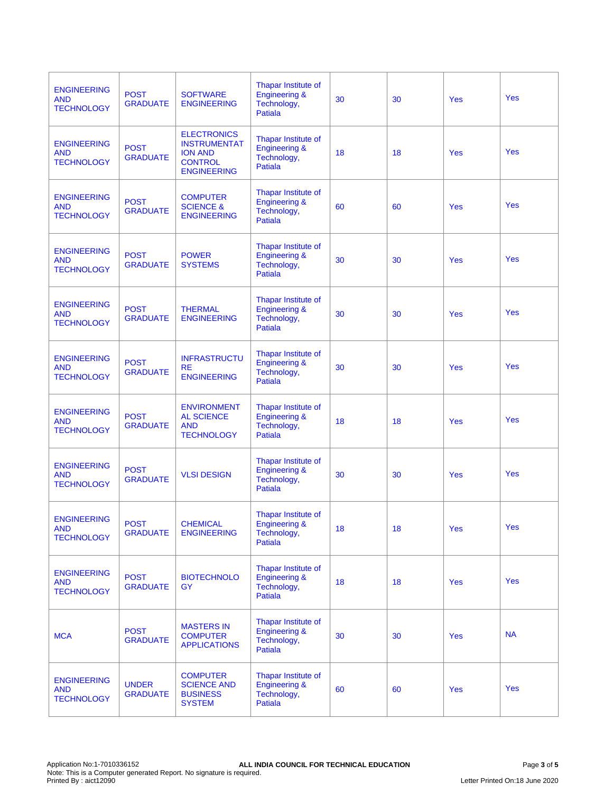| <b>ENGINEERING</b><br><b>AND</b><br><b>TECHNOLOGY</b> | <b>POST</b><br><b>GRADUATE</b>  | <b>SOFTWARE</b><br><b>ENGINEERING</b>                                                               | Thapar Institute of<br><b>Engineering &amp;</b><br>Technology,<br><b>Patiala</b> | 30 | 30 | <b>Yes</b> | <b>Yes</b> |
|-------------------------------------------------------|---------------------------------|-----------------------------------------------------------------------------------------------------|----------------------------------------------------------------------------------|----|----|------------|------------|
| <b>ENGINEERING</b><br><b>AND</b><br><b>TECHNOLOGY</b> | <b>POST</b><br><b>GRADUATE</b>  | <b>ELECTRONICS</b><br><b>INSTRUMENTAT</b><br><b>ION AND</b><br><b>CONTROL</b><br><b>ENGINEERING</b> | Thapar Institute of<br><b>Engineering &amp;</b><br>Technology,<br><b>Patiala</b> | 18 | 18 | <b>Yes</b> | Yes        |
| <b>ENGINEERING</b><br><b>AND</b><br><b>TECHNOLOGY</b> | <b>POST</b><br><b>GRADUATE</b>  | <b>COMPUTER</b><br><b>SCIENCE &amp;</b><br><b>ENGINEERING</b>                                       | Thapar Institute of<br><b>Engineering &amp;</b><br>Technology,<br>Patiala        | 60 | 60 | <b>Yes</b> | <b>Yes</b> |
| <b>ENGINEERING</b><br><b>AND</b><br><b>TECHNOLOGY</b> | <b>POST</b><br><b>GRADUATE</b>  | <b>POWER</b><br><b>SYSTEMS</b>                                                                      | Thapar Institute of<br><b>Engineering &amp;</b><br>Technology,<br>Patiala        | 30 | 30 | <b>Yes</b> | Yes        |
| <b>ENGINEERING</b><br><b>AND</b><br><b>TECHNOLOGY</b> | <b>POST</b><br><b>GRADUATE</b>  | <b>THERMAL</b><br><b>ENGINEERING</b>                                                                | Thapar Institute of<br><b>Engineering &amp;</b><br>Technology,<br><b>Patiala</b> | 30 | 30 | Yes        | <b>Yes</b> |
| <b>ENGINEERING</b><br><b>AND</b><br><b>TECHNOLOGY</b> | <b>POST</b><br><b>GRADUATE</b>  | <b>INFRASTRUCTU</b><br><b>RE</b><br><b>ENGINEERING</b>                                              | Thapar Institute of<br><b>Engineering &amp;</b><br>Technology,<br>Patiala        | 30 | 30 | <b>Yes</b> | <b>Yes</b> |
| <b>ENGINEERING</b><br><b>AND</b><br><b>TECHNOLOGY</b> | <b>POST</b><br><b>GRADUATE</b>  | <b>ENVIRONMENT</b><br><b>AL SCIENCE</b><br><b>AND</b><br><b>TECHNOLOGY</b>                          | Thapar Institute of<br><b>Engineering &amp;</b><br>Technology,<br>Patiala        | 18 | 18 | <b>Yes</b> | Yes        |
| <b>ENGINEERING</b><br><b>AND</b><br><b>TECHNOLOGY</b> | <b>POST</b><br><b>GRADUATE</b>  | <b>VLSI DESIGN</b>                                                                                  | Thapar Institute of<br><b>Engineering &amp;</b><br>Technology,<br>Patiala        | 30 | 30 | <b>Yes</b> | <b>Yes</b> |
| <b>ENGINEERING</b><br><b>AND</b><br><b>TECHNOLOGY</b> | <b>POST</b><br><b>GRADUATE</b>  | <b>CHEMICAL</b><br><b>ENGINEERING</b>                                                               | Thapar Institute of<br><b>Engineering &amp;</b><br>Technology,<br>Patiala        | 18 | 18 | <b>Yes</b> | Yes        |
| <b>ENGINEERING</b><br><b>AND</b><br><b>TECHNOLOGY</b> | <b>POST</b><br><b>GRADUATE</b>  | <b>BIOTECHNOLO</b><br>GY                                                                            | Thapar Institute of<br><b>Engineering &amp;</b><br>Technology,<br>Patiala        | 18 | 18 | Yes        | <b>Yes</b> |
| <b>MCA</b>                                            | <b>POST</b><br><b>GRADUATE</b>  | <b>MASTERS IN</b><br><b>COMPUTER</b><br><b>APPLICATIONS</b>                                         | Thapar Institute of<br><b>Engineering &amp;</b><br>Technology,<br><b>Patiala</b> | 30 | 30 | <b>Yes</b> | <b>NA</b>  |
| <b>ENGINEERING</b><br><b>AND</b><br><b>TECHNOLOGY</b> | <b>UNDER</b><br><b>GRADUATE</b> | <b>COMPUTER</b><br><b>SCIENCE AND</b><br><b>BUSINESS</b><br><b>SYSTEM</b>                           | Thapar Institute of<br><b>Engineering &amp;</b><br>Technology,<br><b>Patiala</b> | 60 | 60 | <b>Yes</b> | <b>Yes</b> |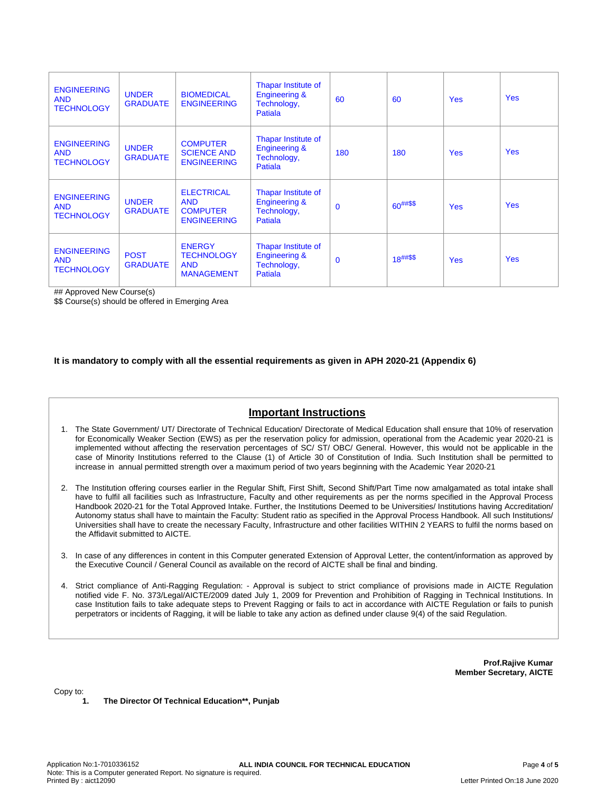| <b>ENGINEERING</b><br><b>AND</b><br><b>TECHNOLOGY</b> | <b>UNDER</b><br><b>GRADUATE</b> | <b>BIOMEDICAL</b><br><b>ENGINEERING</b>                                  | Thapar Institute of<br><b>Engineering &amp;</b><br>Technology,<br>Patiala | 60       | 60            | <b>Yes</b> | <b>Yes</b> |
|-------------------------------------------------------|---------------------------------|--------------------------------------------------------------------------|---------------------------------------------------------------------------|----------|---------------|------------|------------|
| <b>ENGINEERING</b><br><b>AND</b><br><b>TECHNOLOGY</b> | <b>UNDER</b><br><b>GRADUATE</b> | <b>COMPUTER</b><br><b>SCIENCE AND</b><br><b>ENGINEERING</b>              | Thapar Institute of<br><b>Engineering &amp;</b><br>Technology,<br>Patiala | 180      | 180           | <b>Yes</b> | <b>Yes</b> |
| <b>ENGINEERING</b><br><b>AND</b><br><b>TECHNOLOGY</b> | <b>UNDER</b><br><b>GRADUATE</b> | <b>ELECTRICAL</b><br><b>AND</b><br><b>COMPUTER</b><br><b>ENGINEERING</b> | Thapar Institute of<br><b>Engineering &amp;</b><br>Technology,<br>Patiala | $\Omega$ | $60^{##\$\$}$ | <b>Yes</b> | <b>Yes</b> |
| <b>ENGINEERING</b><br><b>AND</b><br><b>TECHNOLOGY</b> | <b>POST</b><br><b>GRADUATE</b>  | <b>ENERGY</b><br><b>TECHNOLOGY</b><br><b>AND</b><br><b>MANAGEMENT</b>    | Thapar Institute of<br><b>Engineering &amp;</b><br>Technology,<br>Patiala | $\Omega$ | $18^{##\$\$}$ | <b>Yes</b> | <b>Yes</b> |

## Approved New Course(s)

\$\$ Course(s) should be offered in Emerging Area

### **It is mandatory to comply with all the essential requirements as given in APH 2020-21 (Appendix 6)**

# **Important Instructions**

- 1. The State Government/ UT/ Directorate of Technical Education/ Directorate of Medical Education shall ensure that 10% of reservation for Economically Weaker Section (EWS) as per the reservation policy for admission, operational from the Academic year 2020-21 is implemented without affecting the reservation percentages of SC/ ST/ OBC/ General. However, this would not be applicable in the case of Minority Institutions referred to the Clause (1) of Article 30 of Constitution of India. Such Institution shall be permitted to increase in annual permitted strength over a maximum period of two years beginning with the Academic Year 2020-21
- 2. The Institution offering courses earlier in the Regular Shift, First Shift, Second Shift/Part Time now amalgamated as total intake shall have to fulfil all facilities such as Infrastructure, Faculty and other requirements as per the norms specified in the Approval Process Handbook 2020-21 for the Total Approved Intake. Further, the Institutions Deemed to be Universities/ Institutions having Accreditation/ Autonomy status shall have to maintain the Faculty: Student ratio as specified in the Approval Process Handbook. All such Institutions/ Universities shall have to create the necessary Faculty, Infrastructure and other facilities WITHIN 2 YEARS to fulfil the norms based on the Affidavit submitted to AICTE.
- 3. In case of any differences in content in this Computer generated Extension of Approval Letter, the content/information as approved by the Executive Council / General Council as available on the record of AICTE shall be final and binding.
- 4. Strict compliance of Anti-Ragging Regulation: Approval is subject to strict compliance of provisions made in AICTE Regulation notified vide F. No. 373/Legal/AICTE/2009 dated July 1, 2009 for Prevention and Prohibition of Ragging in Technical Institutions. In case Institution fails to take adequate steps to Prevent Ragging or fails to act in accordance with AICTE Regulation or fails to punish perpetrators or incidents of Ragging, it will be liable to take any action as defined under clause 9(4) of the said Regulation.

**Prof.Rajive Kumar Member Secretary, AICTE**

Copy to:

**1. The Director Of Technical Education\*\*, Punjab**